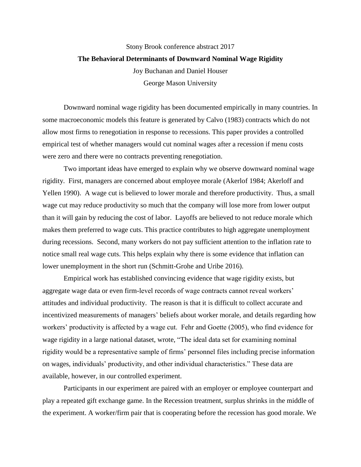## Stony Brook conference abstract 2017 **The Behavioral Determinants of Downward Nominal Wage Rigidity** Joy Buchanan and Daniel Houser George Mason University

Downward nominal wage rigidity has been documented empirically in many countries. In some macroeconomic models this feature is generated by Calvo (1983) contracts which do not allow most firms to renegotiation in response to recessions. This paper provides a controlled empirical test of whether managers would cut nominal wages after a recession if menu costs were zero and there were no contracts preventing renegotiation.

Two important ideas have emerged to explain why we observe downward nominal wage rigidity. First, managers are concerned about employee morale (Akerlof 1984; Akerloff and Yellen 1990). A wage cut is believed to lower morale and therefore productivity. Thus, a small wage cut may reduce productivity so much that the company will lose more from lower output than it will gain by reducing the cost of labor. Layoffs are believed to not reduce morale which makes them preferred to wage cuts. This practice contributes to high aggregate unemployment during recessions. Second, many workers do not pay sufficient attention to the inflation rate to notice small real wage cuts. This helps explain why there is some evidence that inflation can lower unemployment in the short run (Schmitt-Grohe and Uribe 2016).

Empirical work has established convincing evidence that wage rigidity exists, but aggregate wage data or even firm-level records of wage contracts cannot reveal workers' attitudes and individual productivity. The reason is that it is difficult to collect accurate and incentivized measurements of managers' beliefs about worker morale, and details regarding how workers' productivity is affected by a wage cut. Fehr and Goette (2005), who find evidence for wage rigidity in a large national dataset, wrote, "The ideal data set for examining nominal rigidity would be a representative sample of firms' personnel files including precise information on wages, individuals' productivity, and other individual characteristics." These data are available, however, in our controlled experiment.

Participants in our experiment are paired with an employer or employee counterpart and play a repeated gift exchange game. In the Recession treatment, surplus shrinks in the middle of the experiment. A worker/firm pair that is cooperating before the recession has good morale. We